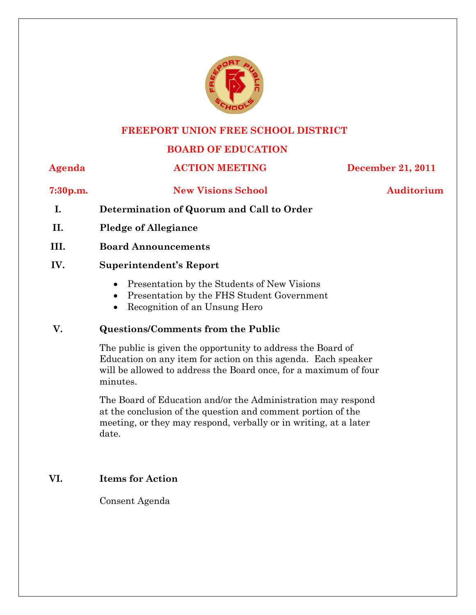

### **FREEPORT UNION FREE SCHOOL DISTRICT**

# **BOARD OF EDUCATION**

# **Agenda ACTION MEETING December 21, 2011**

## **7:30p.m. New Visions School Auditorium**

- **I. Determination of Quorum and Call to Order**
- **II. Pledge of Allegiance**
- **III. Board Announcements**

## **IV. Superintendent's Report**

- Presentation by the Students of New Visions
- Presentation by the FHS Student Government
- Recognition of an Unsung Hero

# **V. Questions/Comments from the Public**

The public is given the opportunity to address the Board of Education on any item for action on this agenda. Each speaker will be allowed to address the Board once, for a maximum of four minutes.

The Board of Education and/or the Administration may respond at the conclusion of the question and comment portion of the meeting, or they may respond, verbally or in writing, at a later date.

# **VI. Items for Action**

Consent Agenda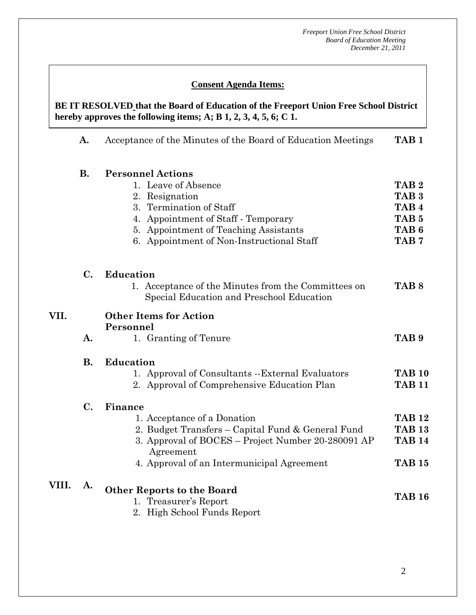# **Consent Agenda Items:**

 **AA. Consent - Approve** 

 *Acceptance of the Minutes*  $\mathbf{A}$ hereby approves the following items; A; B  $1, 2, 3, 4, 5, 6$ ; C  $1$ . **BE IT RESOLVED that the Board of Education of the Freeport Union Free School District** 

|       | A.            | Acceptance of the Minutes of the Board of Education Meetings    | TAB <sub>1</sub> |
|-------|---------------|-----------------------------------------------------------------|------------------|
|       | <b>B.</b>     | <b>Personnel Actions</b>                                        |                  |
|       |               | 1. Leave of Absence                                             | TAB <sub>2</sub> |
|       |               | 2. Resignation                                                  | TAB <sub>3</sub> |
|       |               | 3. Termination of Staff                                         | TAB <sub>4</sub> |
|       |               | 4. Appointment of Staff - Temporary                             | TAB <sub>5</sub> |
|       |               | 5. Appointment of Teaching Assistants                           | TAB <sub>6</sub> |
|       |               | 6. Appointment of Non-Instructional Staff                       | TAB <sub>7</sub> |
|       | $C_{\bullet}$ | Education                                                       |                  |
|       |               | 1. Acceptance of the Minutes from the Committees on             | TAB <sub>8</sub> |
|       |               | Special Education and Preschool Education                       |                  |
| VII.  |               | <b>Other Items for Action</b><br>Personnel                      |                  |
|       | A.            | 1. Granting of Tenure                                           | TAB <sub>9</sub> |
|       | <b>B.</b>     | <b>Education</b>                                                |                  |
|       |               | 1. Approval of Consultants --External Evaluators                | <b>TAB 10</b>    |
|       |               | 2. Approval of Comprehensive Education Plan                     | <b>TAB 11</b>    |
|       | $C_{\bullet}$ | Finance                                                         |                  |
|       |               | 1. Acceptance of a Donation                                     | <b>TAB 12</b>    |
|       |               | 2. Budget Transfers - Capital Fund & General Fund               | <b>TAB 13</b>    |
|       |               | 3. Approval of BOCES - Project Number 20-280091 AP<br>Agreement | <b>TAB 14</b>    |
|       |               | 4. Approval of an Intermunicipal Agreement                      | <b>TAB 15</b>    |
| VIII. | A.            | <b>Other Reports to the Board</b>                               |                  |
|       |               | 1. Treasurer's Report                                           | <b>TAB 16</b>    |
|       |               | 2. High School Funds Report                                     |                  |
|       |               |                                                                 |                  |